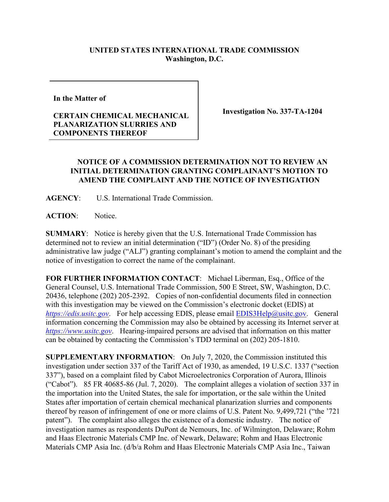## **UNITED STATES INTERNATIONAL TRADE COMMISSION Washington, D.C.**

**In the Matter of** 

## **CERTAIN CHEMICAL MECHANICAL PLANARIZATION SLURRIES AND COMPONENTS THEREOF**

**Investigation No. 337-TA-1204**

## **NOTICE OF A COMMISSION DETERMINATION NOT TO REVIEW AN INITIAL DETERMINATION GRANTING COMPLAINANT'S MOTION TO AMEND THE COMPLAINT AND THE NOTICE OF INVESTIGATION**

**AGENCY**: U.S. International Trade Commission.

**ACTION**: Notice.

**SUMMARY**: Notice is hereby given that the U.S. International Trade Commission has determined not to review an initial determination ("ID") (Order No. 8) of the presiding administrative law judge ("ALJ") granting complainant's motion to amend the complaint and the notice of investigation to correct the name of the complainant.

**FOR FURTHER INFORMATION CONTACT**: Michael Liberman, Esq., Office of the General Counsel, U.S. International Trade Commission, 500 E Street, SW, Washington, D.C. 20436, telephone (202) 205-2392. Copies of non-confidential documents filed in connection with this investigation may be viewed on the Commission's electronic docket (EDIS) at *[https://edis.usitc.gov](https://edis.usitc.gov/)*. For help accessing EDIS, please email [EDIS3Help@usitc.gov.](mailto:EDIS3Help@usitc.gov) General information concerning the Commission may also be obtained by accessing its Internet server at *[https://www.usitc.gov](https://www.usitc.gov/)*. Hearing-impaired persons are advised that information on this matter can be obtained by contacting the Commission's TDD terminal on (202) 205-1810.

**SUPPLEMENTARY INFORMATION**: On July 7, 2020, the Commission instituted this investigation under section 337 of the Tariff Act of 1930, as amended, 19 U.S.C. 1337 ("section 337"), based on a complaint filed by Cabot Microelectronics Corporation of Aurora, Illinois ("Cabot"). 85 FR 40685-86 (Jul. 7, 2020). The complaint alleges a violation of section 337 in the importation into the United States, the sale for importation, or the sale within the United States after importation of certain chemical mechanical planarization slurries and components thereof by reason of infringement of one or more claims of U.S. Patent No. 9,499,721 ("the '721 patent"). The complaint also alleges the existence of a domestic industry. The notice of investigation names as respondents DuPont de Nemours, Inc. of Wilmington, Delaware; Rohm and Haas Electronic Materials CMP Inc. of Newark, Delaware; Rohm and Haas Electronic Materials CMP Asia Inc. (d/b/a Rohm and Haas Electronic Materials CMP Asia Inc., Taiwan